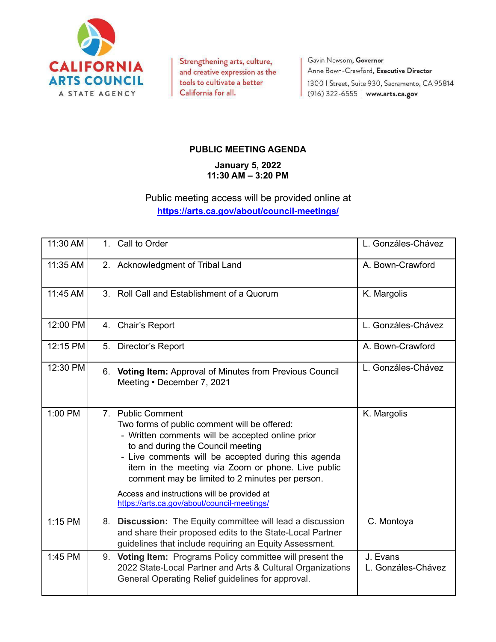

Strengthening arts, culture, and creative expression as the tools to cultivate a better California for all.

Gavin Newsom, Governor Anne Bown-Crawford, Executive Director 1300 | Street, Suite 930, Sacramento, CA 95814 (916) 322-6555 | www.arts.ca.gov

## **PUBLIC MEETING AGENDA**

**January 5, 2022 11:30 AM – 3:20 PM**

## Public meeting access will be provided online at **<https://arts.ca.gov/about/council-meetings/>**

| 11:30 AM | 1. Call to Order                                                                                                                                                                                                                                                                                                           | L. Gonzáles-Chávez             |
|----------|----------------------------------------------------------------------------------------------------------------------------------------------------------------------------------------------------------------------------------------------------------------------------------------------------------------------------|--------------------------------|
| 11:35 AM | 2. Acknowledgment of Tribal Land                                                                                                                                                                                                                                                                                           | A. Bown-Crawford               |
| 11:45 AM | 3. Roll Call and Establishment of a Quorum                                                                                                                                                                                                                                                                                 | K. Margolis                    |
| 12:00 PM | 4. Chair's Report                                                                                                                                                                                                                                                                                                          | L. Gonzáles-Chávez             |
| 12:15 PM | 5. Director's Report                                                                                                                                                                                                                                                                                                       | A. Bown-Crawford               |
| 12:30 PM | 6. Voting Item: Approval of Minutes from Previous Council<br>Meeting • December 7, 2021                                                                                                                                                                                                                                    | L. Gonzáles-Chávez             |
| 1:00 PM  | 7. Public Comment<br>Two forms of public comment will be offered:<br>- Written comments will be accepted online prior<br>to and during the Council meeting<br>- Live comments will be accepted during this agenda<br>item in the meeting via Zoom or phone. Live public<br>comment may be limited to 2 minutes per person. | K. Margolis                    |
|          | Access and instructions will be provided at<br>https://arts.ca.gov/about/council-meetings/                                                                                                                                                                                                                                 |                                |
| 1:15 PM  | 8. Discussion: The Equity committee will lead a discussion<br>and share their proposed edits to the State-Local Partner<br>guidelines that include requiring an Equity Assessment.                                                                                                                                         | C. Montoya                     |
| 1:45 PM  | 9. Voting Item: Programs Policy committee will present the<br>2022 State-Local Partner and Arts & Cultural Organizations<br>General Operating Relief guidelines for approval.                                                                                                                                              | J. Evans<br>L. Gonzáles-Chávez |